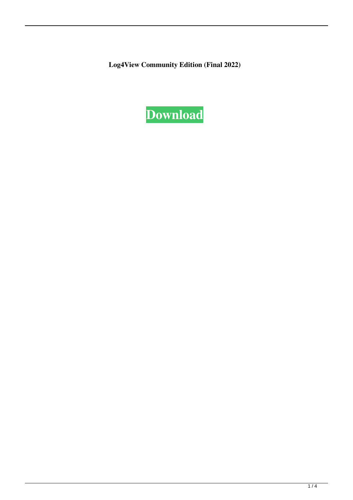**Log4View Community Edition (Final 2022)**

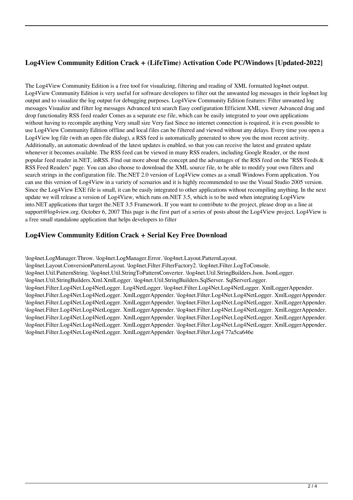# **Log4View Community Edition Crack + (LifeTime) Activation Code PC/Windows [Updated-2022]**

The Log4View Community Edition is a free tool for visualizing, filtering and reading of XML formatted log4net output. Log4View Community Edition is very useful for software developers to filter out the unwanted log messages in their log4net log output and to visualize the log output for debugging purposes. Log4View Community Edition features: Filter unwanted log messages Visualize and filter log messages Advanced text search Easy configuration Efficient XML viewer Advanced drag and drop functionality RSS feed reader Comes as a separate exe file, which can be easily integrated to your own applications without having to recompile anything Very small size Very fast Since no internet connection is required, it is even possible to use Log4View Community Edition offline and local files can be filtered and viewed without any delays. Every time you open a Log4View log file (with an open file dialog), a RSS feed is automatically generated to show you the most recent activity. Additionally, an automatic download of the latest updates is enabled, so that you can receive the latest and greatest update whenever it becomes available. The RSS feed can be viewed in many RSS readers, including Google Reader, or the most popular feed reader in.NET, inRSS. Find out more about the concept and the advantages of the RSS feed on the "RSS Feeds & RSS Feed Readers" page. You can also choose to download the XML source file, to be able to modify your own filters and search strings in the configuration file. The.NET 2.0 version of Log4View comes as a small Windows Form application. You can use this version of Log4View in a variety of scenarios and it is highly recommended to use the Visual Studio 2005 version. Since the Log4View EXE file is small, it can be easily integrated to other applications without recompiling anything. In the next update we will release a version of Log4View, which runs on.NET 3.5, which is to be used when integrating Log4View into.NET applications that target the.NET 3.5 Framework. If you want to contribute to the project, please drop us a line at support@log4view.org. October 6, 2007 This page is the first part of a series of posts about the Log4View project. Log4View is a free small standalone application that helps developers to filter

## **Log4View Community Edition Crack + Serial Key Free Download**

\log4net.LogManager.Throw. \log4net.LogManager.Error. \log4net.Layout.PatternLayout. \log4net.Layout.ConversionPatternLayout. \log4net.Filter.FilterFactory2. \log4net.Filter.LogToConsole. \log4net.Util.PatternString. \log4net.Util.StringToPatternConverter. \log4net.Util.StringBuilders.Json. JsonLogger. \log4net.Util.StringBuilders.Xml.XmlLogger. \log4net.Util.StringBuilders.SqlServer. SqlServerLogger. \log4net.Filter.Log4Net.Log4NetLogger. Log4NetLogger. \log4net.Filter.Log4Net.Log4NetLogger. XmlLoggerAppender. \log4net.Filter.Log4Net.Log4NetLogger. XmlLoggerAppender. \log4net.Filter.Log4Net.Log4NetLogger. XmlLoggerAppender. \log4net.Filter.Log4Net.Log4NetLogger. XmlLoggerAppender. \log4net.Filter.Log4Net.Log4NetLogger. XmlLoggerAppender. \log4net.Filter.Log4Net.Log4NetLogger. XmlLoggerAppender. \log4net.Filter.Log4Net.Log4NetLogger. XmlLoggerAppender. \log4net.Filter.Log4Net.Log4NetLogger. XmlLoggerAppender. \log4net.Filter.Log4Net.Log4NetLogger. XmlLoggerAppender. \log4net.Filter.Log4Net.Log4NetLogger. XmlLoggerAppender. \log4net.Filter.Log4Net.Log4NetLogger. XmlLoggerAppender. \log4net.Filter.Log4Net.Log4NetLogger. XmlLoggerAppender. \log4net.Filter.Log4 77a5ca646e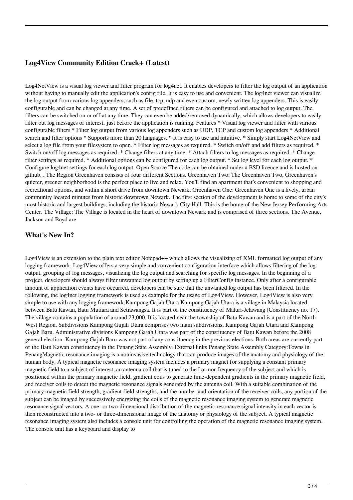### **Log4View Community Edition Crack+ (Latest)**

Log4NetView is a visual log viewer and filter program for log4net. It enables developers to filter the log output of an application without having to manually edit the application's config file. It is easy to use and convenient. The log4net viewer can visualize the log output from various log appenders, such as file, tcp, udp and even custom, newly written log appenders. This is easily configurable and can be changed at any time. A set of predefined filters can be configured and attached to log output. The filters can be switched on or off at any time. They can even be added/removed dynamically, which allows developers to easily filter out log messages of interest, just before the application is running. Features \* Visual log viewer and filter with various configurable filters \* Filter log output from various log appenders such as UDP, TCP and custom log appenders \* Additional search and filter options \* Supports more than 20 languages. \* It is easy to use and intuitive. \* Simply start Log4NetView and select a log file from your filesystem to open. \* Filter log messages as required. \* Switch on/off and add filters as required. \* Switch on/off log messages as required. \* Change filters at any time. \* Attach filters to log messages as required. \* Change filter settings as required. \* Additional options can be configured for each log output. \* Set log level for each log output. \* Configure log4net settings for each log output. Open Source The code can be obtained under a BSD licence and is hosted on github. . The Region Greenhaven consists of four different Sections. Greenhaven Two: The Greenhaven Two, Greenhaven's quieter, greener neighborhood is the perfect place to live and relax. You'll find an apartment that's convenient to shopping and recreational options, and within a short drive from downtown Newark. Greenhaven One: Greenhaven One is a lively, urban community located minutes from historic downtown Newark. The first section of the development is home to some of the city's most historic and largest buildings, including the historic Newark City Hall. This is the home of the New Jersey Performing Arts Center. The Village: The Village is located in the heart of downtown Newark and is comprised of three sections. The Avenue, Jackson and Boyd are

#### **What's New In?**

Log4View is an extension to the plain text editor Notepad++ which allows the visualizing of XML formatted log output of any logging framework. Log4View offers a very simple and convenient configuration interface which allows filtering of the log output, grouping of log messages, visualizing the log output and searching for specific log messages. In the beginning of a project, developers should always filter unwanted log output by setting up a FilterConfig instance. Only after a configurable amount of application events have occurred, developers can be sure that the unwanted log output has been filtered. In the following, the log4net logging framework is used as example for the usage of Log4View. However, Log4View is also very simple to use with any logging framework.Kampong Gajah Utara Kampong Gajah Utara is a village in Malaysia located between Batu Kawan, Batu Mutiara and Setiawangsa. It is part of the constituency of Maluri-Jelawang (Constituency no. 17). The village contains a population of around 23,000. It is located near the township of Batu Kawan and is a part of the North West Region. Subdivisions Kampong Gajah Utara comprises two main subdivisions, Kampong Gajah Utara and Kampong Gajah Baru. Administrative divisions Kampong Gajah Utara was part of the constituency of Batu Kawan before the 2008 general election. Kampong Gajah Baru was not part of any constituency in the previous elections. Both areas are currently part of the Batu Kawan constituency in the Penang State Assembly. External links Penang State Assembly Category:Towns in PenangMagnetic resonance imaging is a noninvasive technology that can produce images of the anatomy and physiology of the human body. A typical magnetic resonance imaging system includes a primary magnet for supplying a constant primary magnetic field to a subject of interest, an antenna coil that is tuned to the Larmor frequency of the subject and which is positioned within the primary magnetic field, gradient coils to generate time-dependent gradients in the primary magnetic field, and receiver coils to detect the magnetic resonance signals generated by the antenna coil. With a suitable combination of the primary magnetic field strength, gradient field strengths, and the number and orientation of the receiver coils, any portion of the subject can be imaged by successively energizing the coils of the magnetic resonance imaging system to generate magnetic resonance signal vectors. A one- or two-dimensional distribution of the magnetic resonance signal intensity in each vector is then reconstructed into a two- or three-dimensional image of the anatomy or physiology of the subject. A typical magnetic resonance imaging system also includes a console unit for controlling the operation of the magnetic resonance imaging system. The console unit has a keyboard and display to